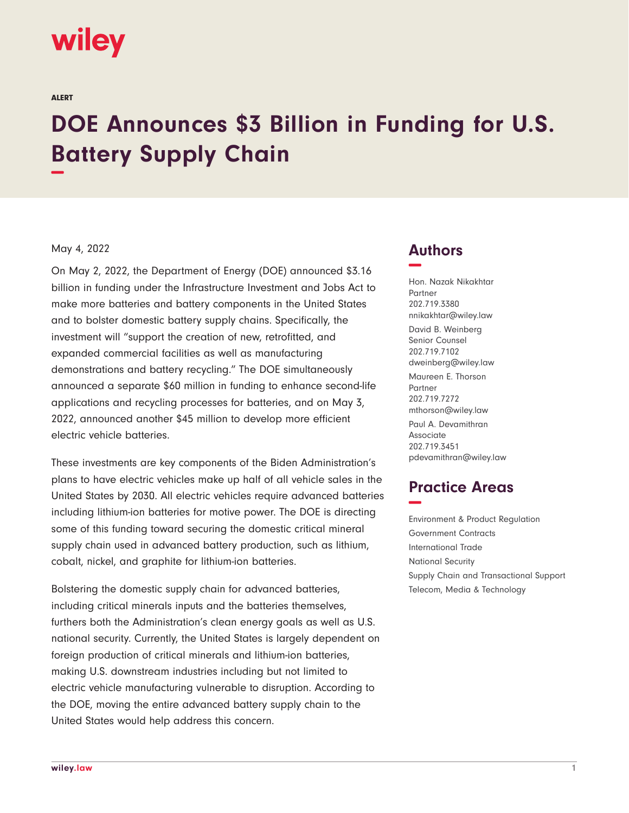# **wiley**

ALERT

# **DOE Announces \$3 Billion in Funding for U.S. Battery Supply Chain −**

#### May 4, 2022

On May 2, 2022, the Department of Energy (DOE) announced \$3.16 billion in funding under the Infrastructure Investment and Jobs Act to make more batteries and battery components in the United States and to bolster domestic battery supply chains. Specifically, the investment will "support the creation of new, retrofitted, and expanded commercial facilities as well as manufacturing demonstrations and battery recycling." The DOE simultaneously announced a separate \$60 million in funding to enhance second-life applications and recycling processes for batteries, and on May 3, 2022, announced another \$45 million to develop more efficient electric vehicle batteries.

These investments are key components of the Biden Administration's plans to have electric vehicles make up half of all vehicle sales in the United States by 2030. All electric vehicles require advanced batteries including lithium-ion batteries for motive power. The DOE is directing some of this funding toward securing the domestic critical mineral supply chain used in advanced battery production, such as lithium, cobalt, nickel, and graphite for lithium-ion batteries.

Bolstering the domestic supply chain for advanced batteries, including critical minerals inputs and the batteries themselves, furthers both the Administration's clean energy goals as well as U.S. national security. Currently, the United States is largely dependent on foreign production of critical minerals and lithium-ion batteries, making U.S. downstream industries including but not limited to electric vehicle manufacturing vulnerable to disruption. According to the DOE, moving the entire advanced battery supply chain to the United States would help address this concern.

### **Authors −**

Hon. Nazak Nikakhtar Partner 202.719.3380 nnikakhtar@wiley.law David B. Weinberg Senior Counsel 202.719.7102 dweinberg@wiley.law Maureen E. Thorson Partner 202.719.7272 mthorson@wiley.law Paul A. Devamithran Associate 202.719.3451 pdevamithran@wiley.law

## **Practice Areas −**

Environment & Product Regulation Government Contracts International Trade National Security Supply Chain and Transactional Support Telecom, Media & Technology